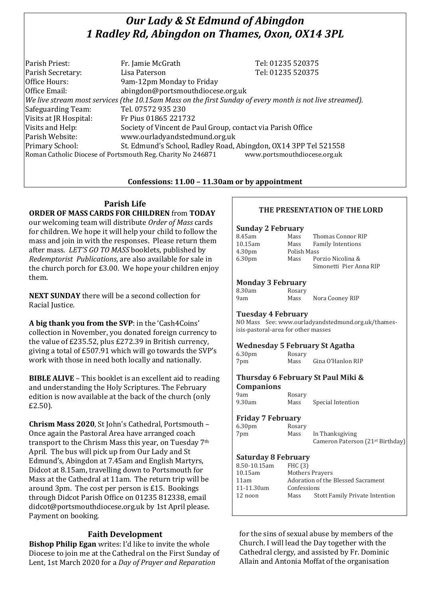# *Our Lady & St Edmund of Abingdon 1 Radley Rd, Abingdon on Thames, Oxon, OX14 3PL*

| Parish Priest:         | Fr. Jamie McGrath                                                                                        | Tel: 01235 520375            |
|------------------------|----------------------------------------------------------------------------------------------------------|------------------------------|
| Parish Secretary:      | Lisa Paterson                                                                                            | Tel: 01235 520375            |
| Office Hours:          | 9am-12pm Monday to Friday                                                                                |                              |
| Office Email:          | abingdon@portsmouthdiocese.org.uk                                                                        |                              |
|                        | We live stream most services (the 10.15am Mass on the first Sunday of every month is not live streamed). |                              |
| Safeguarding Team:     | Tel. 07572 935 230                                                                                       |                              |
| Visits at JR Hospital: | Fr Pius 01865 221732                                                                                     |                              |
| Visits and Help:       | Society of Vincent de Paul Group, contact via Parish Office                                              |                              |
| Parish Website:        | www.ourladyandstedmund.org.uk                                                                            |                              |
| Primary School:        | St. Edmund's School, Radley Road, Abingdon, OX14 3PP Tel 521558                                          |                              |
|                        | Roman Catholic Diocese of Portsmouth Reg. Charity No 246871                                              | www.portsmouthdiocese.org.uk |

## **Confessions: 11.00 – 11.30am or by appointment**

# **Parish Life**

**ORDER OF MASS CARDS FOR CHILDREN** from **TODAY** our welcoming team will distribute *Order of Mass* cards for children. We hope it will help your child to follow the mass and join in with the responses. Please return them after mass. *LET'S GO TO MASS* booklets, published by *Redemptorist Publications*, are also available for sale in the church porch for £3.00. We hope your children enjoy them.

**NEXT SUNDAY** there will be a second collection for Racial Justice.

**A big thank you from the SVP**: in the 'Cash4Coins' collection in November, you donated foreign currency to the value of £235.52, plus £272.39 in British currency, giving a total of £507.91 which will go towards the SVP's work with those in need both locally and nationally.

**BIBLE ALIVE** – This booklet is an excellent aid to reading and understanding the Holy Scriptures. The February edition is now available at the back of the church (only £2.50).

**Chrism Mass 2020**, St John's Cathedral, Portsmouth – Once again the Pastoral Area have arranged coach transport to the Chrism Mass this year, on Tuesday 7th April. The bus will pick up from Our Lady and St Edmund's, Abingdon at 7.45am and English Martyrs, Didcot at 8.15am, travelling down to Portsmouth for Mass at the Cathedral at 11am. The return trip will be around 3pm. The cost per person is £15. Bookings through Didcot Parish Office on 01235 812338, email didcot@portsmouthdiocese.org.uk by 1st April please. Payment on booking.

# **Faith Development**

**Bishop Philip Egan** writes: I'd like to invite the whole Diocese to join me at the Cathedral on the First Sunday of Lent, 1st March 2020 for a *Day of Prayer and Reparation*

# **THE PRESENTATION OF THE LORD**

| <b>Sunday 2 February</b> |             |                          |
|--------------------------|-------------|--------------------------|
| 8.45am                   | Mass        | Thomas Connor RIP        |
| 10.15am                  | Mass        | <b>Family Intentions</b> |
| 4.30 <sub>pm</sub>       | Polish Mass |                          |
| 6.30 <sub>pm</sub>       | Mass        | Porzio Nicolina &        |
|                          |             | Simonetti Pier Anna RIP  |
|                          |             |                          |

# **Monday 3 February**

| 8.30am | Rosary |                 |
|--------|--------|-----------------|
| 9am    | Mass   | Nora Cooney RIP |

### **Tuesday 4 February**

NO Mass See: www.ourladyandstedmund.org.uk/thamesisis-pastoral-area for other masses

### **Wednesday 5 February St Agatha**

| 6.30 <sub>pm</sub> | Rosary |                   |
|--------------------|--------|-------------------|
| 7pm                | Mass   | Gina O'Hanlon RIP |

### **Thursday 6 February St Paul Miki & Companions**

| 9am    | Rosary |                   |
|--------|--------|-------------------|
| 9.30am | Mass   | Special Intention |

### **Friday 7 February**

|                    | 111000, 11001001, |                                              |
|--------------------|-------------------|----------------------------------------------|
| 6.30 <sub>pm</sub> | Rosary            |                                              |
| 7pm                | Mass              | In Thanksgiving                              |
|                    |                   | Cameron Paterson (21 <sup>st</sup> Birthday) |

# **Saturday 8 February**

| 8.50-10.15am | <b>FHC</b> (3) |                                       |
|--------------|----------------|---------------------------------------|
| 10.15am      |                | <b>Mothers Prayers</b>                |
| 11am         |                | Adoration of the Blessed Sacrament    |
| 11-11.30am   | Confessions    |                                       |
| 12 noon      | Mass           | <b>Stott Family Private Intention</b> |
|              |                |                                       |

for the sins of sexual abuse by members of the Church. I will lead the Day together with the Cathedral clergy, and assisted by Fr. Dominic Allain and Antonia Moffat of the organisation